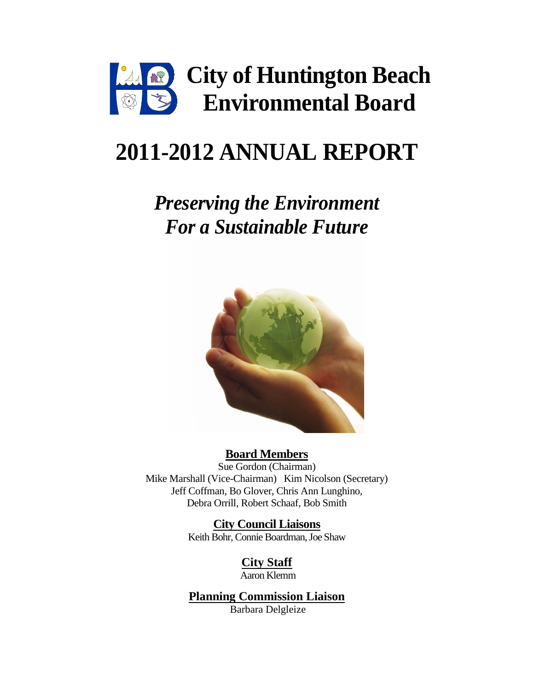

# **2011-2012 ANNUAL REPORT**

## *Preserving the Environment For a Sustainable Future*



#### **Board Members**

Sue Gordon (Chairman) Mike Marshall (Vice-Chairman) Kim Nicolson (Secretary) Jeff Coffman, Bo Glover, Chris Ann Lunghino, Debra Orrill, Robert Schaaf, Bob Smith

> **City Council Liaisons** Keith Bohr, Connie Boardman, Joe Shaw

> > **City Staff**  Aaron Klemm

**Planning Commission Liaison** Barbara Delgleize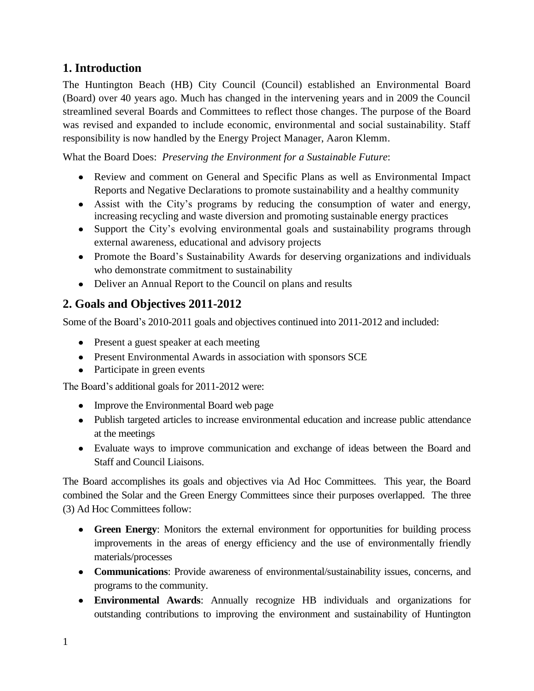### **1. Introduction**

The Huntington Beach (HB) City Council (Council) established an Environmental Board (Board) over 40 years ago. Much has changed in the intervening years and in 2009 the Council streamlined several Boards and Committees to reflect those changes. The purpose of the Board was revised and expanded to include economic, environmental and social sustainability. Staff responsibility is now handled by the Energy Project Manager, Aaron Klemm.

What the Board Does: *Preserving the Environment for a Sustainable Future*:

- Review and comment on General and Specific Plans as well as Environmental Impact Reports and Negative Declarations to promote sustainability and a healthy community
- Assist with the City's programs by reducing the consumption of water and energy, increasing recycling and waste diversion and promoting sustainable energy practices
- Support the City's evolving environmental goals and sustainability programs through external awareness, educational and advisory projects
- Promote the Board's Sustainability Awards for deserving organizations and individuals who demonstrate commitment to sustainability
- Deliver an Annual Report to the Council on plans and results

#### **2. Goals and Objectives 2011-2012**

Some of the Board's 2010-2011 goals and objectives continued into 2011-2012 and included:

- Present a guest speaker at each meeting
- Present Environmental Awards in association with sponsors SCE
- Participate in green events

The Board's additional goals for 2011-2012 were:

- Improve the Environmental Board web page
- Publish targeted articles to increase environmental education and increase public attendance at the meetings
- Evaluate ways to improve communication and exchange of ideas between the Board and Staff and Council Liaisons.

The Board accomplishes its goals and objectives via Ad Hoc Committees. This year, the Board combined the Solar and the Green Energy Committees since their purposes overlapped. The three (3) Ad Hoc Committees follow:

- **Green Energy**: Monitors the external environment for opportunities for building process improvements in the areas of energy efficiency and the use of environmentally friendly materials/processes
- **Communications**: Provide awareness of environmental/sustainability issues, concerns, and programs to the community.
- **Environmental Awards**: Annually recognize HB individuals and organizations for outstanding contributions to improving the environment and sustainability of Huntington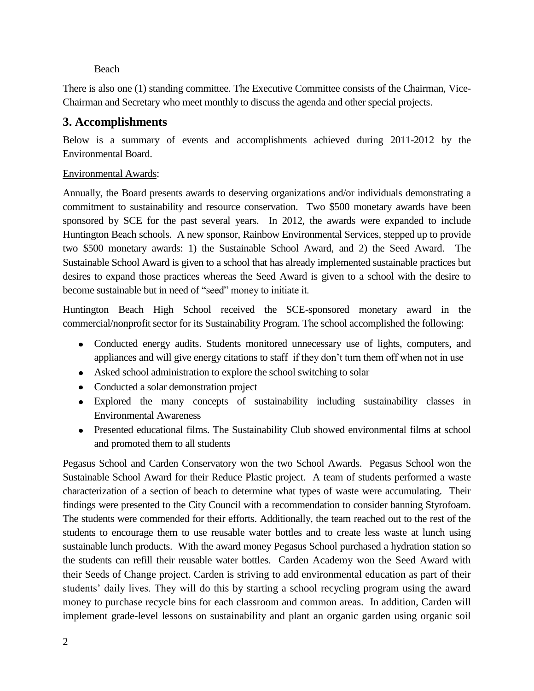#### Beach

There is also one (1) standing committee. The Executive Committee consists of the Chairman, Vice-Chairman and Secretary who meet monthly to discuss the agenda and other special projects.

#### **3. Accomplishments**

Below is a summary of events and accomplishments achieved during 2011-2012 by the Environmental Board.

#### Environmental Awards:

Annually, the Board presents awards to deserving organizations and/or individuals demonstrating a commitment to sustainability and resource conservation. Two \$500 monetary awards have been sponsored by SCE for the past several years. In 2012, the awards were expanded to include Huntington Beach schools. A new sponsor, Rainbow Environmental Services, stepped up to provide two \$500 monetary awards: 1) the Sustainable School Award, and 2) the Seed Award. The Sustainable School Award is given to a school that has already implemented sustainable practices but desires to expand those practices whereas the Seed Award is given to a school with the desire to become sustainable but in need of "seed" money to initiate it.

Huntington Beach High School received the SCE-sponsored monetary award in the commercial/nonprofit sector for its Sustainability Program. The school accomplished the following:

- Conducted energy audits. Students monitored unnecessary use of lights, computers, and appliances and will give energy citations to staff if they don't turn them off when not in use
- Asked school administration to explore the school switching to solar
- Conducted a solar demonstration project
- Explored the many concepts of sustainability including sustainability classes in Environmental Awareness
- Presented educational films. The Sustainability Club showed environmental films at school and promoted them to all students

Pegasus School and Carden Conservatory won the two School Awards. Pegasus School won the Sustainable School Award for their Reduce Plastic project. A team of students performed a waste characterization of a section of beach to determine what types of waste were accumulating. Their findings were presented to the City Council with a recommendation to consider banning Styrofoam. The students were commended for their efforts. Additionally, the team reached out to the rest of the students to encourage them to use reusable water bottles and to create less waste at lunch using sustainable lunch products. With the award money Pegasus School purchased a hydration station so the students can refill their reusable water bottles. Carden Academy won the Seed Award with their Seeds of Change project. Carden is striving to add environmental education as part of their students' daily lives. They will do this by starting a school recycling program using the award money to purchase recycle bins for each classroom and common areas. In addition, Carden will implement grade-level lessons on sustainability and plant an organic garden using organic soil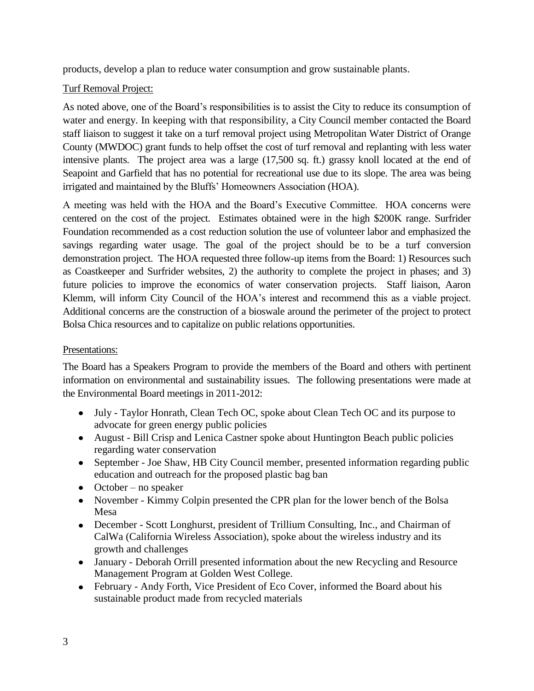products, develop a plan to reduce water consumption and grow sustainable plants.

#### Turf Removal Project:

As noted above, one of the Board's responsibilities is to assist the City to reduce its consumption of water and energy. In keeping with that responsibility, a City Council member contacted the Board staff liaison to suggest it take on a turf removal project using Metropolitan Water District of Orange County (MWDOC) grant funds to help offset the cost of turf removal and replanting with less water intensive plants. The project area was a large (17,500 sq. ft.) grassy knoll located at the end of Seapoint and Garfield that has no potential for recreational use due to its slope. The area was being irrigated and maintained by the Bluffs' Homeowners Association (HOA).

A meeting was held with the HOA and the Board's Executive Committee. HOA concerns were centered on the cost of the project. Estimates obtained were in the high \$200K range. Surfrider Foundation recommended as a cost reduction solution the use of volunteer labor and emphasized the savings regarding water usage. The goal of the project should be to be a turf conversion demonstration project. The HOA requested three follow-up items from the Board: 1) Resources such as Coastkeeper and Surfrider websites, 2) the authority to complete the project in phases; and 3) future policies to improve the economics of water conservation projects. Staff liaison, Aaron Klemm, will inform City Council of the HOA's interest and recommend this as a viable project. Additional concerns are the construction of a bioswale around the perimeter of the project to protect Bolsa Chica resources and to capitalize on public relations opportunities.

#### Presentations:

The Board has a Speakers Program to provide the members of the Board and others with pertinent information on environmental and sustainability issues. The following presentations were made at the Environmental Board meetings in 2011-2012:

- July Taylor Honrath, Clean Tech OC, spoke about Clean Tech OC and its purpose to advocate for green energy public policies
- August Bill Crisp and Lenica Castner spoke about Huntington Beach public policies regarding water conservation
- September Joe Shaw, HB City Council member, presented information regarding public education and outreach for the proposed plastic bag ban
- $\bullet$  October no speaker
- November Kimmy Colpin presented the CPR plan for the lower bench of the Bolsa Mesa
- December Scott Longhurst, president of Trillium Consulting, Inc., and Chairman of CalWa (California Wireless Association), spoke about the wireless industry and its growth and challenges
- January Deborah Orrill presented information about the new Recycling and Resource Management Program at Golden West College.
- February Andy Forth, Vice President of Eco Cover, informed the Board about his sustainable product made from recycled materials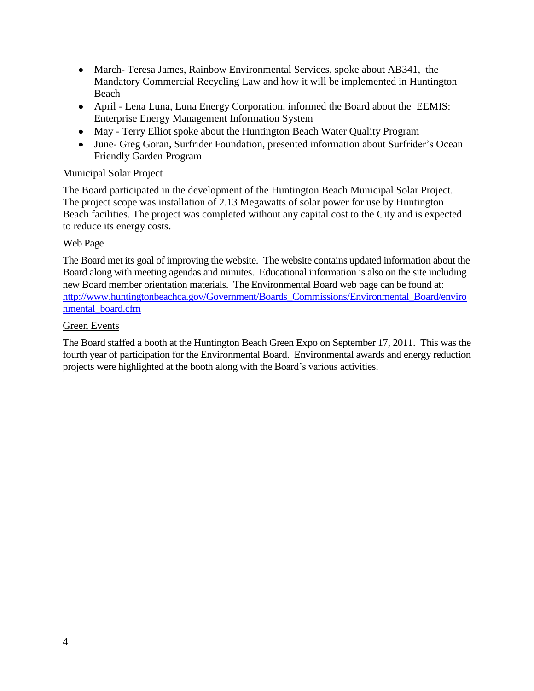- March- Teresa James, Rainbow Environmental Services, spoke about AB341, the Mandatory Commercial Recycling Law and how it will be implemented in Huntington Beach
- April Lena Luna, Luna Energy Corporation, informed the Board about the EEMIS: Enterprise Energy Management Information System
- May Terry Elliot spoke about the Huntington Beach Water Quality Program
- June- Greg Goran, Surfrider Foundation, presented information about Surfrider's Ocean Friendly Garden Program

#### Municipal Solar Project

The Board participated in the development of the Huntington Beach Municipal Solar Project. The project scope was installation of 2.13 Megawatts of solar power for use by Huntington Beach facilities. The project was completed without any capital cost to the City and is expected to reduce its energy costs.

#### Web Page

The Board met its goal of improving the website. The website contains updated information about the Board along with meeting agendas and minutes. Educational information is also on the site including new Board member orientation materials. The Environmental Board web page can be found at: [http://www.huntingtonbeachca.gov/Government/Boards\\_Commissions/Environmental\\_Board/enviro](http://www.huntingtonbeachca.gov/Government/Boards_Commissions/Environmental_Board/environmental_board.cfm) [nmental\\_board.cfm](http://www.huntingtonbeachca.gov/Government/Boards_Commissions/Environmental_Board/environmental_board.cfm) 

#### Green Events

The Board staffed a booth at the Huntington Beach Green Expo on September 17, 2011. This was the fourth year of participation for the Environmental Board. Environmental awards and energy reduction projects were highlighted at the booth along with the Board's various activities.